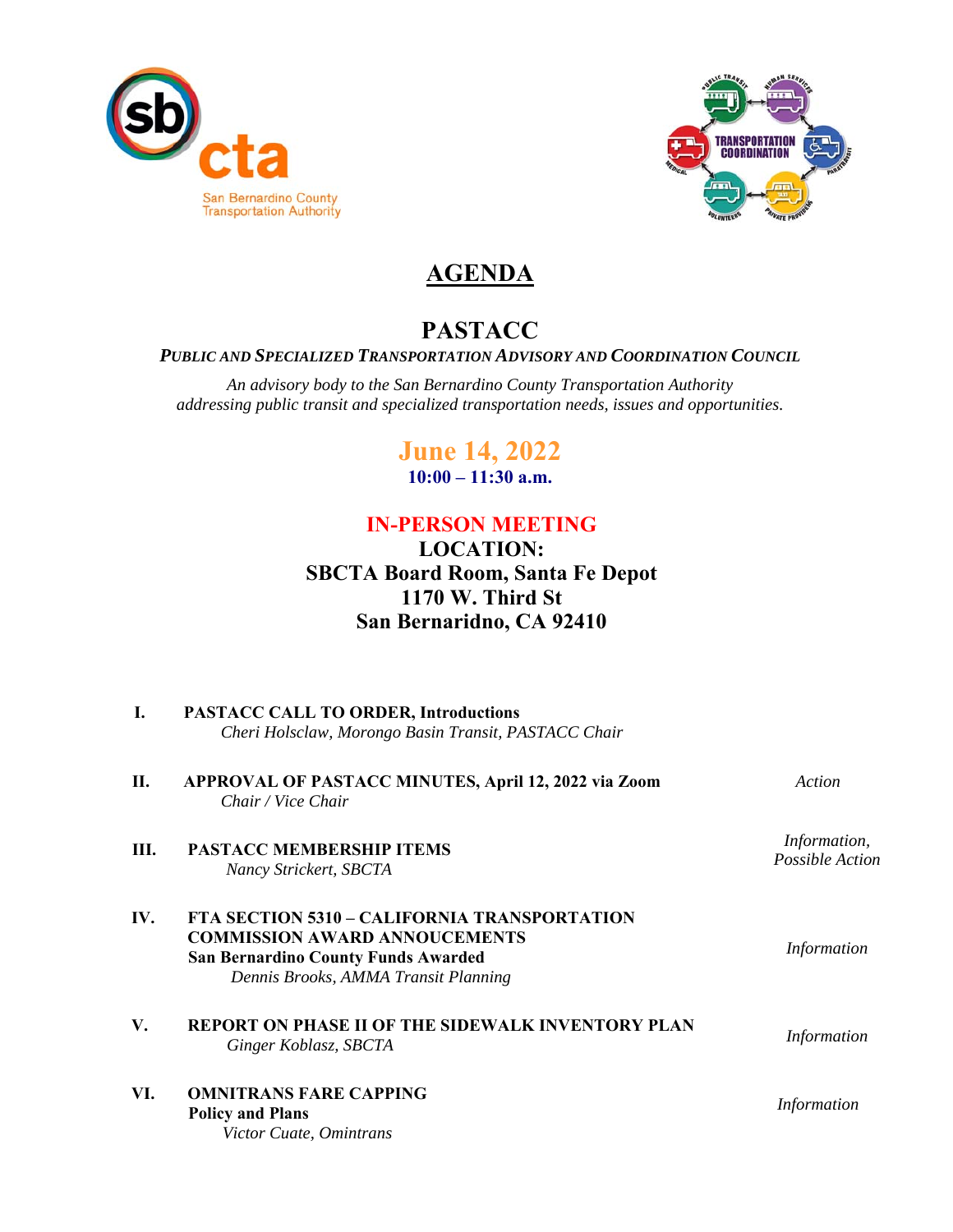



## **AGENDA**

### **PASTACC**

#### *PUBLIC AND SPECIALIZED TRANSPORTATION ADVISORY AND COORDINATION COUNCIL*

*An advisory body to the San Bernardino County Transportation Authority addressing public transit and specialized transportation needs, issues and opportunities.* 

# **June 14, 2022**

**10:00 – 11:30 a.m.** 

### **IN-PERSON MEETING**

#### **LOCATION: SBCTA Board Room, Santa Fe Depot 1170 W. Third St San Bernaridno, CA 92410**

| I.   | <b>PASTACC CALL TO ORDER, Introductions</b><br>Cheri Holsclaw, Morongo Basin Transit, PASTACC Chair                                                                               |                                 |  |  |  |  |  |
|------|-----------------------------------------------------------------------------------------------------------------------------------------------------------------------------------|---------------------------------|--|--|--|--|--|
| П.   | APPROVAL OF PASTACC MINUTES, April 12, 2022 via Zoom<br>Chair / Vice Chair                                                                                                        | Action                          |  |  |  |  |  |
| III. | <b>PASTACC MEMBERSHIP ITEMS</b><br>Nancy Strickert, SBCTA                                                                                                                         | Information,<br>Possible Action |  |  |  |  |  |
| IV.  | <b>FTA SECTION 5310 - CALIFORNIA TRANSPORTATION</b><br><b>COMMISSION AWARD ANNOUCEMENTS</b><br><b>San Bernardino County Funds Awarded</b><br>Dennis Brooks, AMMA Transit Planning | <i>Information</i>              |  |  |  |  |  |
| V.   | <b>REPORT ON PHASE II OF THE SIDEWALK INVENTORY PLAN</b><br>Ginger Koblasz, SBCTA                                                                                                 | Information                     |  |  |  |  |  |
| VI.  | <b>OMNITRANS FARE CAPPING</b><br><b>Policy and Plans</b><br>Victor Cuate, Omintrans                                                                                               | Information                     |  |  |  |  |  |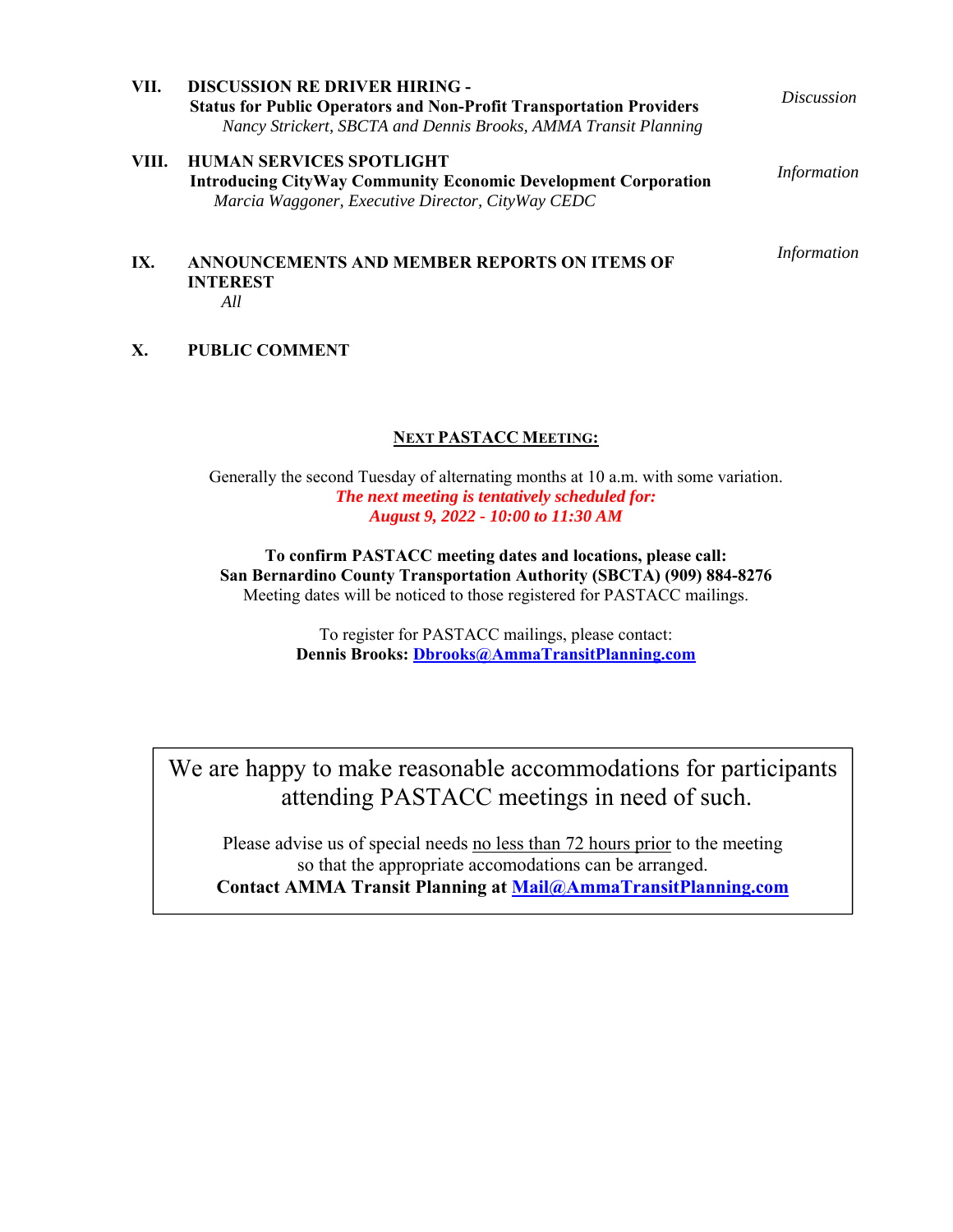| VII.  | <b>DISCUSSION RE DRIVER HIRING -</b><br><b>Status for Public Operators and Non-Profit Transportation Providers</b><br>Nancy Strickert, SBCTA and Dennis Brooks, AMMA Transit Planning | <i>Discussion</i> |
|-------|---------------------------------------------------------------------------------------------------------------------------------------------------------------------------------------|-------------------|
| VIII. | <b>HUMAN SERVICES SPOTLIGHT</b><br><b>Introducing CityWay Community Economic Development Corporation</b><br>Marcia Waggoner, Executive Director, CityWay CEDC                         | Information       |
| IX.   | <b>ANNOUNCEMENTS AND MEMBER REPORTS ON ITEMS OF</b><br><b>INTEREST</b>                                                                                                                | Information       |

#### *All*

#### **X. PUBLIC COMMENT**

#### **NEXT PASTACC MEETING:**

Generally the second Tuesday of alternating months at 10 a.m. with some variation. *The next meeting is tentatively scheduled for: August 9, 2022 - 10:00 to 11:30 AM* 

**To confirm PASTACC meeting dates and locations, please call: San Bernardino County Transportation Authority (SBCTA) (909) 884-8276**  Meeting dates will be noticed to those registered for PASTACC mailings.

> To register for PASTACC mailings, please contact: **Dennis Brooks: Dbrooks@AmmaTransitPlanning.com**

We are happy to make reasonable accommodations for participants attending PASTACC meetings in need of such.

Please advise us of special needs no less than 72 hours prior to the meeting so that the appropriate accomodations can be arranged. **Contact AMMA Transit Planning at Mail@AmmaTransitPlanning.com**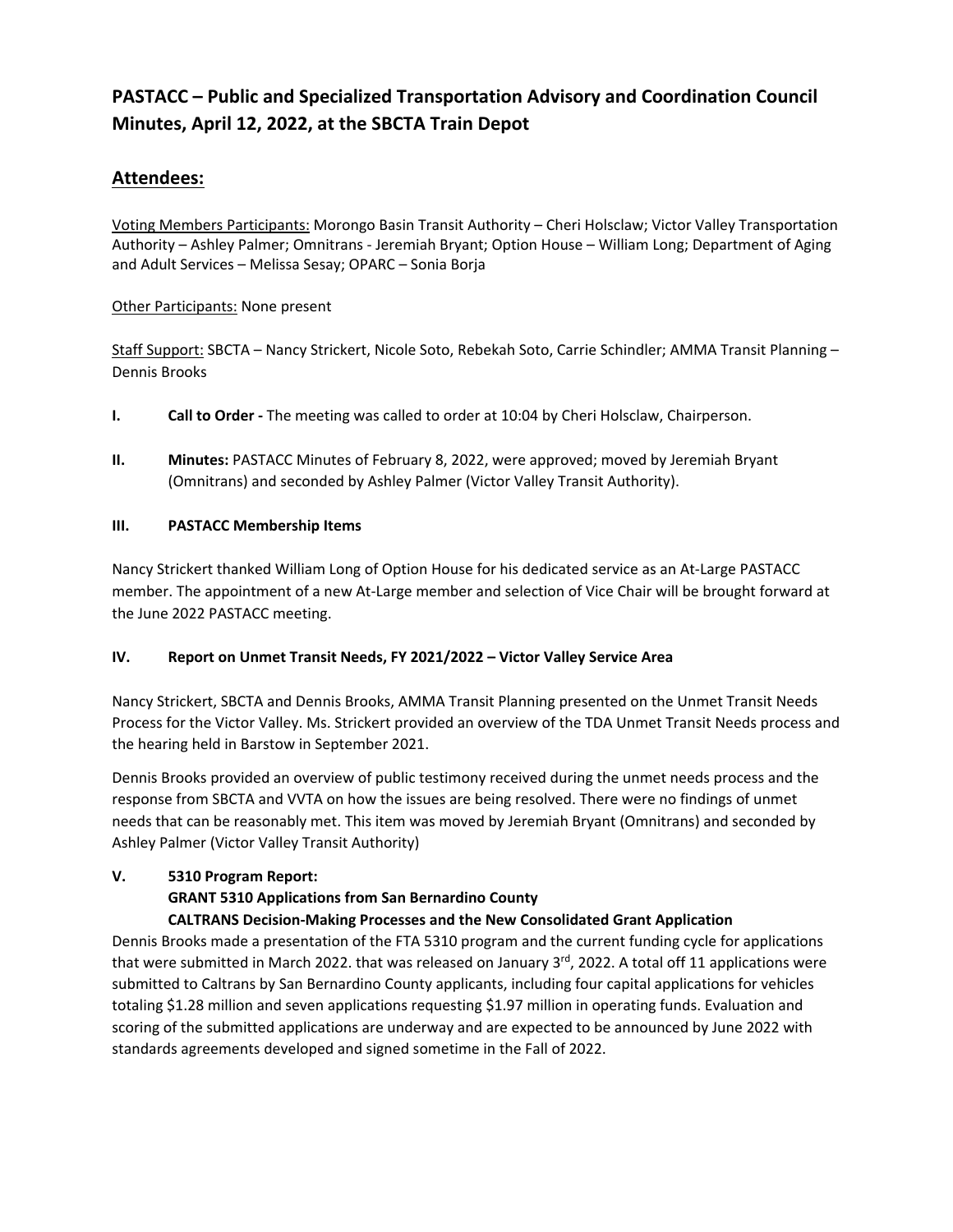#### **PASTACC – Public and Specialized Transportation Advisory and Coordination Council Minutes, April 12, 2022, at the SBCTA Train Depot**

#### **Attendees:**

Voting Members Participants: Morongo Basin Transit Authority – Cheri Holsclaw; Victor Valley Transportation Authority – Ashley Palmer; Omnitrans ‐ Jeremiah Bryant; Option House – William Long; Department of Aging and Adult Services – Melissa Sesay; OPARC – Sonia Borja

#### Other Participants: None present

Staff Support: SBCTA - Nancy Strickert, Nicole Soto, Rebekah Soto, Carrie Schindler; AMMA Transit Planning -Dennis Brooks

- **I. Call to Order** The meeting was called to order at 10:04 by Cheri Holsclaw, Chairperson.
- **II. Minutes:** PASTACC Minutes of February 8, 2022, were approved; moved by Jeremiah Bryant (Omnitrans) and seconded by Ashley Palmer (Victor Valley Transit Authority).

#### **III. PASTACC Membership Items**

Nancy Strickert thanked William Long of Option House for his dedicated service as an At‐Large PASTACC member. The appointment of a new At‐Large member and selection of Vice Chair will be brought forward at the June 2022 PASTACC meeting.

#### **IV. Report on Unmet Transit Needs, FY 2021/2022 – Victor Valley Service Area**

Nancy Strickert, SBCTA and Dennis Brooks, AMMA Transit Planning presented on the Unmet Transit Needs Process for the Victor Valley. Ms. Strickert provided an overview of the TDA Unmet Transit Needs process and the hearing held in Barstow in September 2021.

Dennis Brooks provided an overview of public testimony received during the unmet needs process and the response from SBCTA and VVTA on how the issues are being resolved. There were no findings of unmet needs that can be reasonably met. This item was moved by Jeremiah Bryant (Omnitrans) and seconded by Ashley Palmer (Victor Valley Transit Authority)

#### **V. 5310 Program Report:**

#### **GRANT 5310 Applications from San Bernardino County**

#### **CALTRANS Decision‐Making Processes and the New Consolidated Grant Application**

Dennis Brooks made a presentation of the FTA 5310 program and the current funding cycle for applications that were submitted in March 2022. that was released on January 3rd, 2022. A total off 11 applications were submitted to Caltrans by San Bernardino County applicants, including four capital applications for vehicles totaling \$1.28 million and seven applications requesting \$1.97 million in operating funds. Evaluation and scoring of the submitted applications are underway and are expected to be announced by June 2022 with standards agreements developed and signed sometime in the Fall of 2022.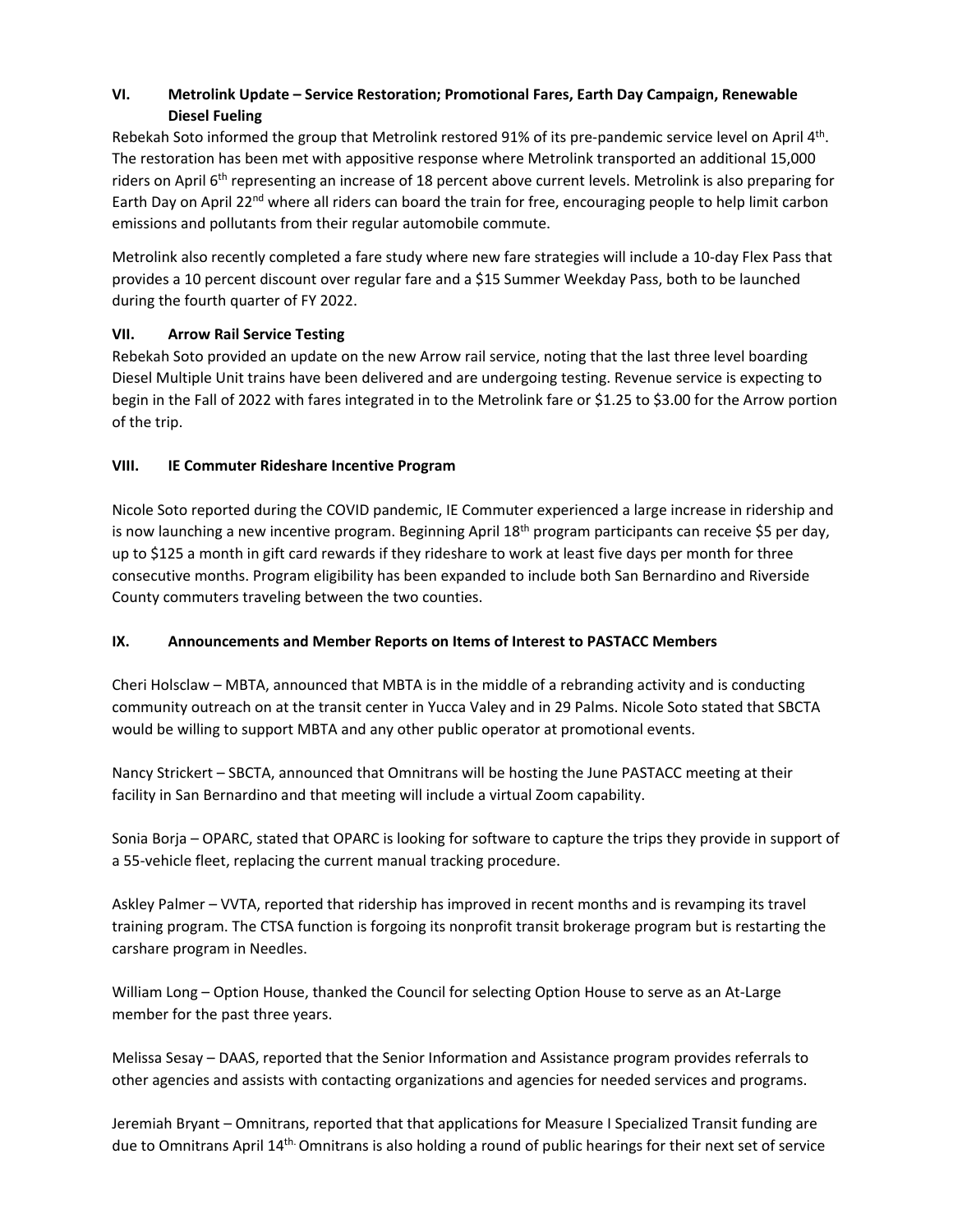#### **VI. Metrolink Update – Service Restoration; Promotional Fares, Earth Day Campaign, Renewable Diesel Fueling**

Rebekah Soto informed the group that Metrolink restored 91% of its pre-pandemic service level on April 4th. The restoration has been met with appositive response where Metrolink transported an additional 15,000 riders on April 6<sup>th</sup> representing an increase of 18 percent above current levels. Metrolink is also preparing for Earth Day on April 22<sup>nd</sup> where all riders can board the train for free, encouraging people to help limit carbon emissions and pollutants from their regular automobile commute.

Metrolink also recently completed a fare study where new fare strategies will include a 10‐day Flex Pass that provides a 10 percent discount over regular fare and a \$15 Summer Weekday Pass, both to be launched during the fourth quarter of FY 2022.

#### **VII. Arrow Rail Service Testing**

Rebekah Soto provided an update on the new Arrow rail service, noting that the last three level boarding Diesel Multiple Unit trains have been delivered and are undergoing testing. Revenue service is expecting to begin in the Fall of 2022 with fares integrated in to the Metrolink fare or \$1.25 to \$3.00 for the Arrow portion of the trip.

#### **VIII. IE Commuter Rideshare Incentive Program**

Nicole Soto reported during the COVID pandemic, IE Commuter experienced a large increase in ridership and is now launching a new incentive program. Beginning April  $18<sup>th</sup>$  program participants can receive \$5 per day, up to \$125 a month in gift card rewards if they rideshare to work at least five days per month for three consecutive months. Program eligibility has been expanded to include both San Bernardino and Riverside County commuters traveling between the two counties.

#### **IX. Announcements and Member Reports on Items of Interest to PASTACC Members**

Cheri Holsclaw – MBTA, announced that MBTA is in the middle of a rebranding activity and is conducting community outreach on at the transit center in Yucca Valey and in 29 Palms. Nicole Soto stated that SBCTA would be willing to support MBTA and any other public operator at promotional events.

Nancy Strickert – SBCTA, announced that Omnitrans will be hosting the June PASTACC meeting at their facility in San Bernardino and that meeting will include a virtual Zoom capability.

Sonia Borja – OPARC, stated that OPARC is looking for software to capture the trips they provide in support of a 55-vehicle fleet, replacing the current manual tracking procedure.

Askley Palmer – VVTA, reported that ridership has improved in recent months and is revamping its travel training program. The CTSA function is forgoing its nonprofit transit brokerage program but is restarting the carshare program in Needles.

William Long – Option House, thanked the Council for selecting Option House to serve as an At‐Large member for the past three years.

Melissa Sesay – DAAS, reported that the Senior Information and Assistance program provides referrals to other agencies and assists with contacting organizations and agencies for needed services and programs.

Jeremiah Bryant – Omnitrans, reported that that applications for Measure I Specialized Transit funding are due to Omnitrans April 14th. Omnitrans is also holding a round of public hearings for their next set of service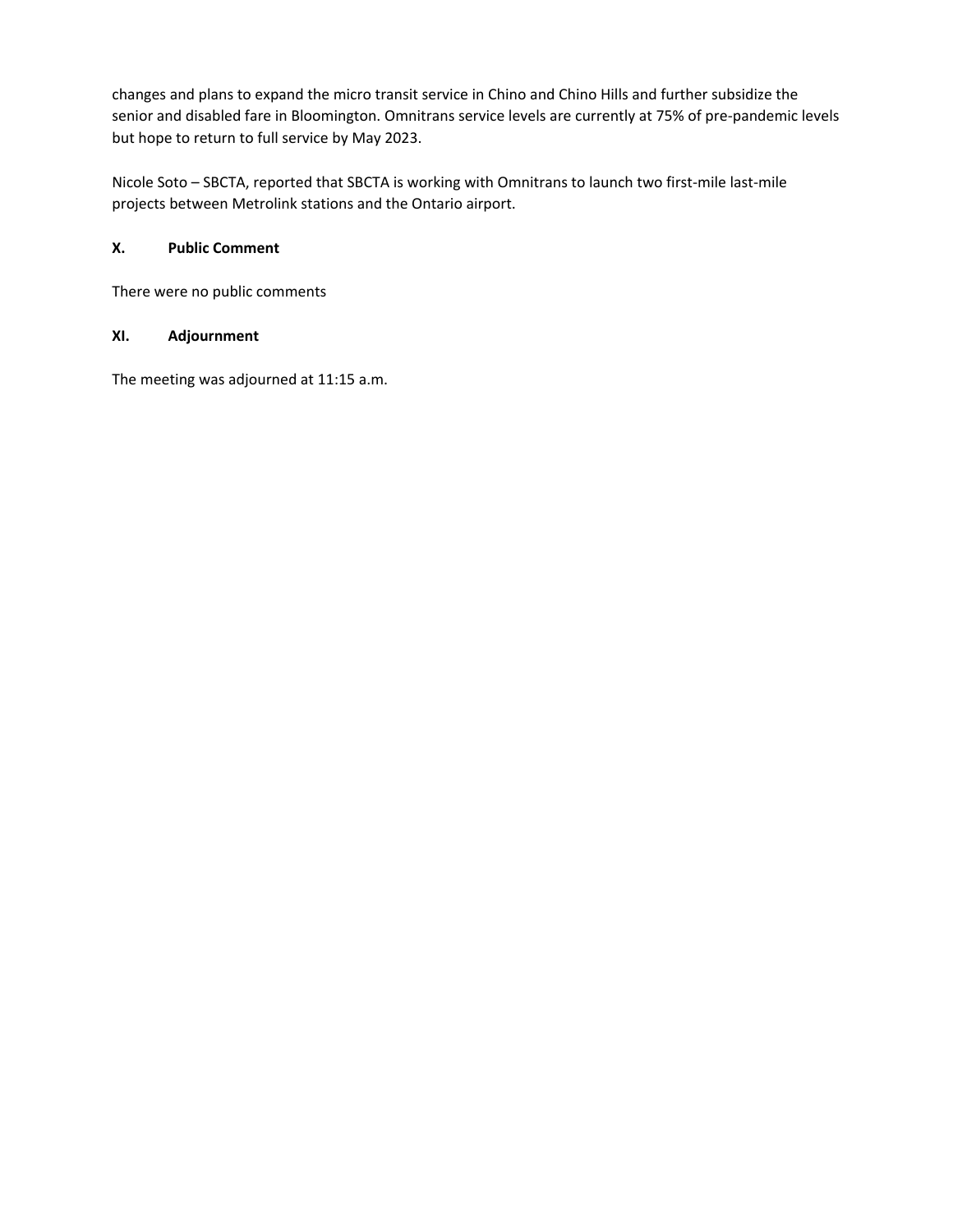changes and plans to expand the micro transit service in Chino and Chino Hills and further subsidize the senior and disabled fare in Bloomington. Omnitrans service levels are currently at 75% of pre-pandemic levels but hope to return to full service by May 2023.

Nicole Soto – SBCTA, reported that SBCTA is working with Omnitrans to launch two first-mile last-mile projects between Metrolink stations and the Ontario airport.

#### **X. Public Comment**

There were no public comments

#### **XI. Adjournment**

The meeting was adjourned at 11:15 a.m.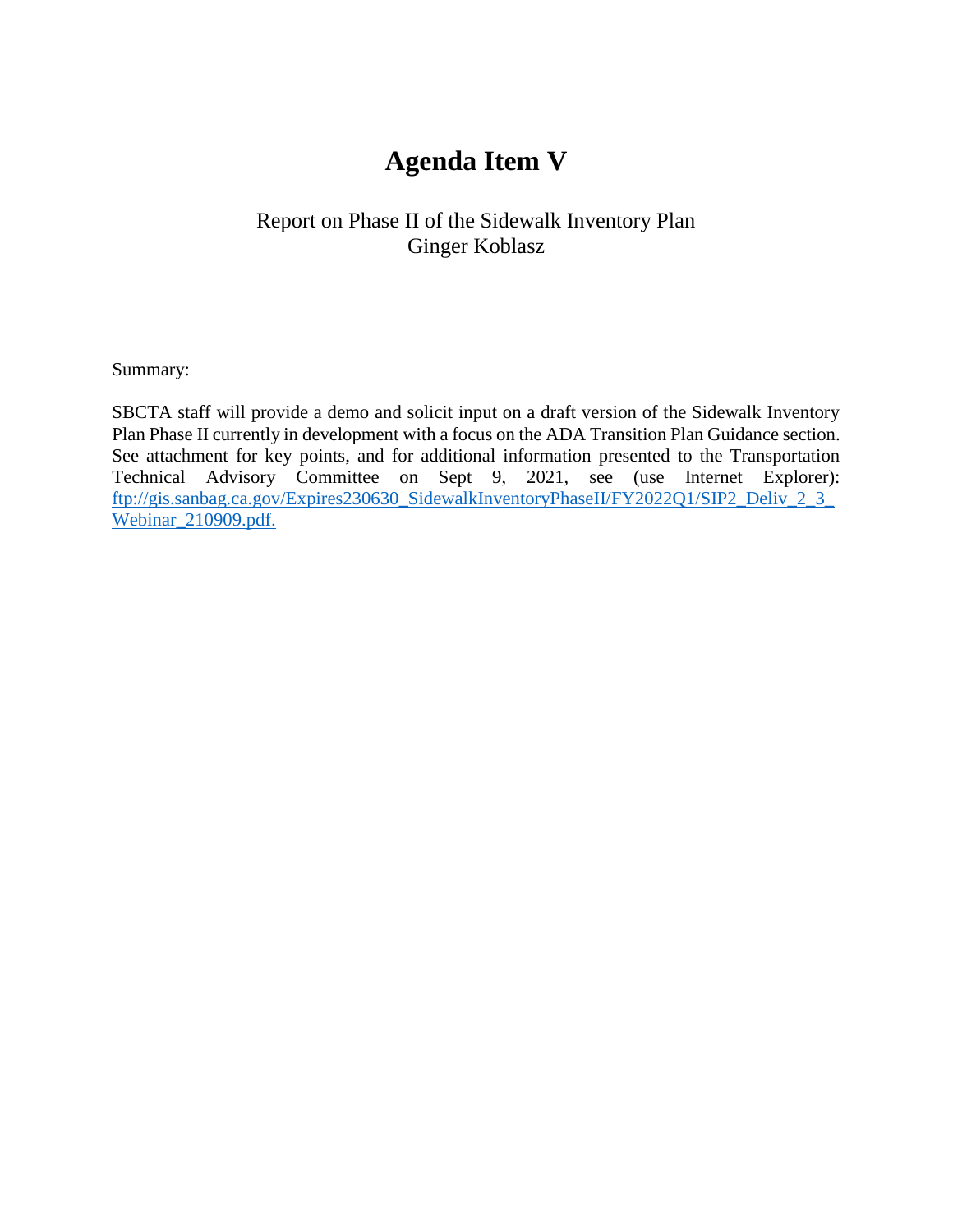# **Agenda Item V**

#### Report on Phase II of the Sidewalk Inventory Plan Ginger Koblasz

Summary:

SBCTA staff will provide a demo and solicit input on a draft version of the Sidewalk Inventory Plan Phase II currently in development with a focus on the ADA Transition Plan Guidance section. See attachment for key points, and for additional information presented to the Transportation Technical Advisory Committee on Sept 9, 2021, see (use Internet Explorer): [ftp://gis.sanbag.ca.gov/Expires230630\\_SidewalkInventoryPhaseII/FY2022Q1/SIP2\\_Deliv\\_2\\_3\\_](ftp://gis.sanbag.ca.gov/Expires230630_SidewalkInventoryPhaseII/FY2022Q1/SIP2_Deliv_2_3_Webinar_210909.pdf) [Webinar\\_210909.pdf.](ftp://gis.sanbag.ca.gov/Expires230630_SidewalkInventoryPhaseII/FY2022Q1/SIP2_Deliv_2_3_Webinar_210909.pdf)